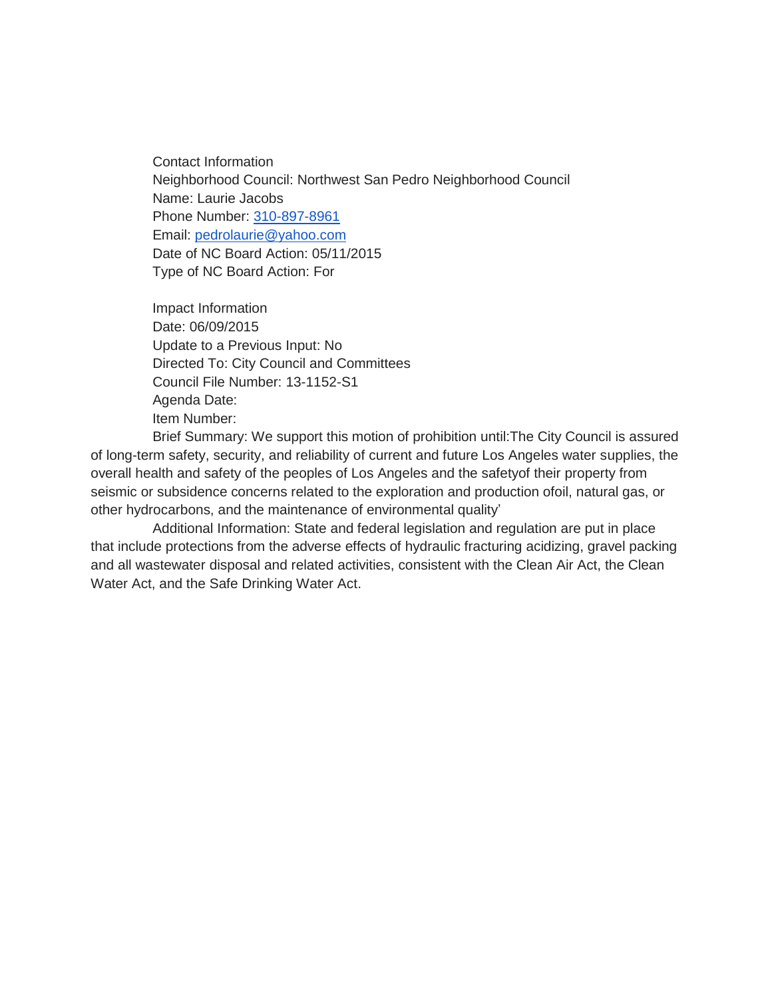Contact Information Neighborhood Council: Northwest San Pedro Neighborhood Council Name: Laurie Jacobs Phone Number: [310-897-8961](tel:310-897-8961) Email: [pedrolaurie@yahoo.com](mailto:pedrolaurie@yahoo.com) Date of NC Board Action: 05/11/2015 Type of NC Board Action: For

Impact Information Date: 06/09/2015 Update to a Previous Input: No Directed To: City Council and Committees Council File Number: 13-1152-S1 Agenda Date: Item Number:

Brief Summary: We support this motion of prohibition until:The City Council is assured of long-term safety, security, and reliability of current and future Los Angeles water supplies, the overall health and safety of the peoples of Los Angeles and the safetyof their property from seismic or subsidence concerns related to the exploration and production ofoil, natural gas, or other hydrocarbons, and the maintenance of environmental quality'

Additional Information: State and federal legislation and regulation are put in place that include protections from the adverse effects of hydraulic fracturing acidizing, gravel packing and all wastewater disposal and related activities, consistent with the Clean Air Act, the Clean Water Act, and the Safe Drinking Water Act.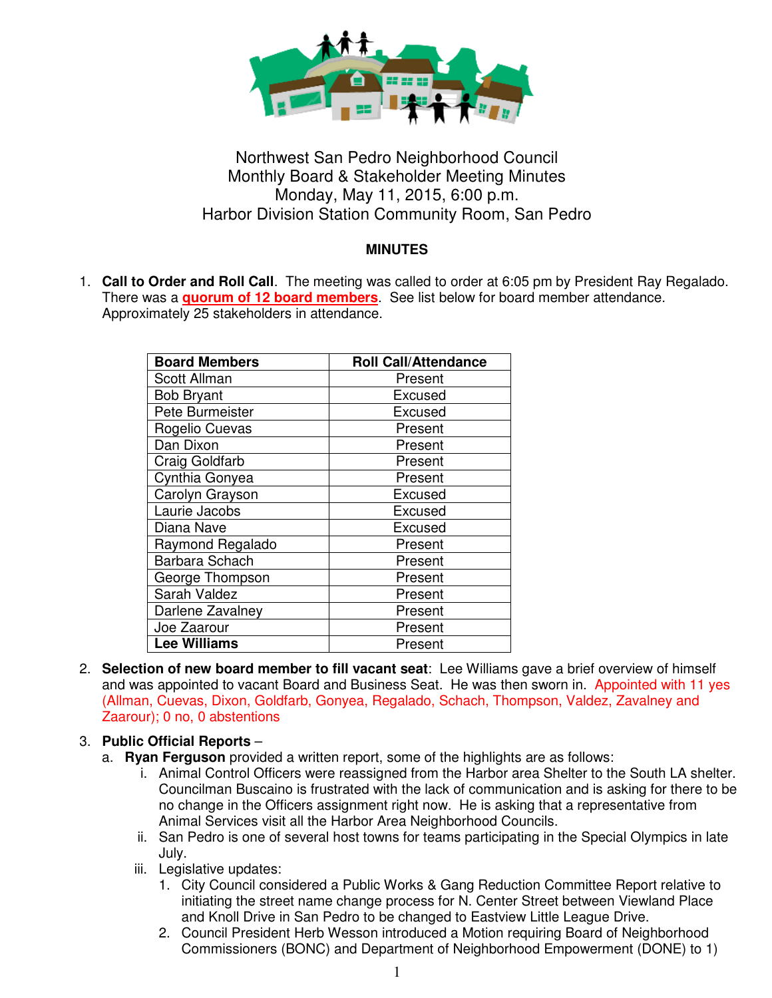

# Northwest San Pedro Neighborhood Council Monthly Board & Stakeholder Meeting Minutes Monday, May 11, 2015, 6:00 p.m. Harbor Division Station Community Room, San Pedro

## **MINUTES**

1. **Call to Order and Roll Call**. The meeting was called to order at 6:05 pm by President Ray Regalado. There was a **quorum of 12 board members**. See list below for board member attendance. Approximately 25 stakeholders in attendance.

| <b>Board Members</b>  | <b>Roll Call/Attendance</b> |
|-----------------------|-----------------------------|
| <b>Scott Allman</b>   | Present                     |
| <b>Bob Bryant</b>     | Excused                     |
| Pete Burmeister       | Excused                     |
| Rogelio Cuevas        | Present                     |
| Dan Dixon             | Present                     |
| <b>Craig Goldfarb</b> | Present                     |
| Cynthia Gonyea        | Present                     |
| Carolyn Grayson       | Excused                     |
| Laurie Jacobs         | Excused                     |
| Diana Nave            | Excused                     |
| Raymond Regalado      | Present                     |
| Barbara Schach        | Present                     |
| George Thompson       | Present                     |
| Sarah Valdez          | Present                     |
| Darlene Zavalney      | Present                     |
| Joe Zaarour           | Present                     |
| <b>Lee Williams</b>   | Present                     |

2. **Selection of new board member to fill vacant seat**: Lee Williams gave a brief overview of himself and was appointed to vacant Board and Business Seat. He was then sworn in. Appointed with 11 yes (Allman, Cuevas, Dixon, Goldfarb, Gonyea, Regalado, Schach, Thompson, Valdez, Zavalney and Zaarour); 0 no, 0 abstentions

### 3. **Public Official Reports** –

- a. **Ryan Ferguson** provided a written report, some of the highlights are as follows:
	- i. Animal Control Officers were reassigned from the Harbor area Shelter to the South LA shelter. Councilman Buscaino is frustrated with the lack of communication and is asking for there to be no change in the Officers assignment right now. He is asking that a representative from Animal Services visit all the Harbor Area Neighborhood Councils.
	- ii. San Pedro is one of several host towns for teams participating in the Special Olympics in late July.
	- iii. Legislative updates:
		- 1. City Council considered a Public Works & Gang Reduction Committee Report relative to initiating the street name change process for N. Center Street between Viewland Place and Knoll Drive in San Pedro to be changed to Eastview Little League Drive.
		- 2. Council President Herb Wesson introduced a Motion requiring Board of Neighborhood Commissioners (BONC) and Department of Neighborhood Empowerment (DONE) to 1)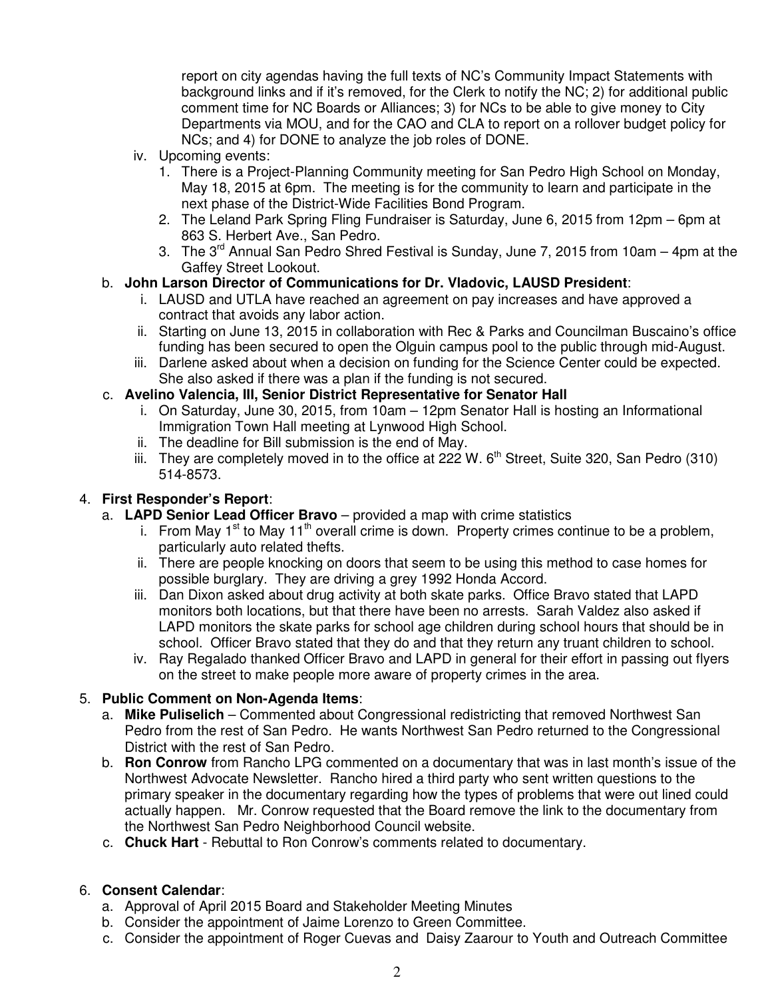report on city agendas having the full texts of NC's Community Impact Statements with background links and if it's removed, for the Clerk to notify the NC; 2) for additional public comment time for NC Boards or Alliances; 3) for NCs to be able to give money to City Departments via MOU, and for the CAO and CLA to report on a rollover budget policy for NCs; and 4) for DONE to analyze the job roles of DONE.

- iv. Upcoming events:
	- 1. There is a Project-Planning Community meeting for San Pedro High School on Monday, May 18, 2015 at 6pm. The meeting is for the community to learn and participate in the next phase of the District-Wide Facilities Bond Program.
	- 2. The Leland Park Spring Fling Fundraiser is Saturday, June 6, 2015 from 12pm 6pm at 863 S. Herbert Ave., San Pedro.
	- 3. The  $3^{rd}$  Annual San Pedro Shred Festival is Sunday, June 7, 2015 from 10am 4pm at the Gaffey Street Lookout.

### b. **John Larson Director of Communications for Dr. Vladovic, LAUSD President**:

- i. LAUSD and UTLA have reached an agreement on pay increases and have approved a contract that avoids any labor action.
- ii. Starting on June 13, 2015 in collaboration with Rec & Parks and Councilman Buscaino's office funding has been secured to open the Olguin campus pool to the public through mid-August.
- iii. Darlene asked about when a decision on funding for the Science Center could be expected. She also asked if there was a plan if the funding is not secured.

### c. **Avelino Valencia, III, Senior District Representative for Senator Hall**

- i. On Saturday, June 30, 2015, from 10am 12pm Senator Hall is hosting an Informational Immigration Town Hall meeting at Lynwood High School.
- ii. The deadline for Bill submission is the end of May.
- iii. They are completely moved in to the office at 222 W.  $6<sup>th</sup>$  Street, Suite 320, San Pedro (310) 514-8573.

### 4. **First Responder's Report**:

- a. **LAPD Senior Lead Officer Bravo** provided a map with crime statistics
	- i. From May 1<sup>st</sup> to May 11<sup>th</sup> overall crime is down. Property crimes continue to be a problem, particularly auto related thefts.
	- ii. There are people knocking on doors that seem to be using this method to case homes for possible burglary. They are driving a grey 1992 Honda Accord.
	- iii. Dan Dixon asked about drug activity at both skate parks. Office Bravo stated that LAPD monitors both locations, but that there have been no arrests. Sarah Valdez also asked if LAPD monitors the skate parks for school age children during school hours that should be in school. Officer Bravo stated that they do and that they return any truant children to school.
	- iv. Ray Regalado thanked Officer Bravo and LAPD in general for their effort in passing out flyers on the street to make people more aware of property crimes in the area.

### 5. **Public Comment on Non-Agenda Items**:

- a. **Mike Puliselich** Commented about Congressional redistricting that removed Northwest San Pedro from the rest of San Pedro. He wants Northwest San Pedro returned to the Congressional District with the rest of San Pedro.
- b. **Ron Conrow** from Rancho LPG commented on a documentary that was in last month's issue of the Northwest Advocate Newsletter. Rancho hired a third party who sent written questions to the primary speaker in the documentary regarding how the types of problems that were out lined could actually happen. Mr. Conrow requested that the Board remove the link to the documentary from the Northwest San Pedro Neighborhood Council website.
- c. **Chuck Hart** Rebuttal to Ron Conrow's comments related to documentary.

### 6. **Consent Calendar**:

- a. Approval of April 2015 Board and Stakeholder Meeting Minutes
- b. Consider the appointment of Jaime Lorenzo to Green Committee.
- c. Consider the appointment of Roger Cuevas and Daisy Zaarour to Youth and Outreach Committee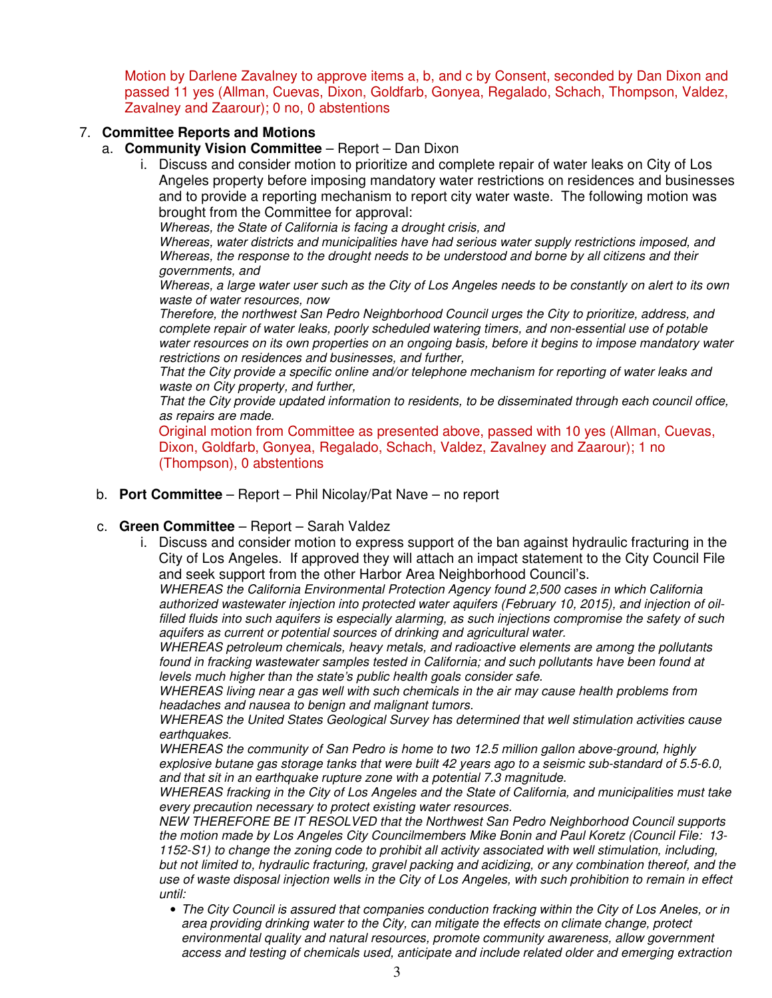Motion by Darlene Zavalney to approve items a, b, and c by Consent, seconded by Dan Dixon and passed 11 yes (Allman, Cuevas, Dixon, Goldfarb, Gonyea, Regalado, Schach, Thompson, Valdez, Zavalney and Zaarour); 0 no, 0 abstentions

### 7. **Committee Reports and Motions**

- a. **Community Vision Committee** Report Dan Dixon
	- i. Discuss and consider motion to prioritize and complete repair of water leaks on City of Los Angeles property before imposing mandatory water restrictions on residences and businesses and to provide a reporting mechanism to report city water waste. The following motion was brought from the Committee for approval:

Whereas, the State of California is facing a drought crisis, and

Whereas, water districts and municipalities have had serious water supply restrictions imposed, and Whereas, the response to the drought needs to be understood and borne by all citizens and their governments, and

Whereas, a large water user such as the City of Los Angeles needs to be constantly on alert to its own waste of water resources, now

Therefore, the northwest San Pedro Neighborhood Council urges the City to prioritize, address, and complete repair of water leaks, poorly scheduled watering timers, and non-essential use of potable water resources on its own properties on an ongoing basis, before it begins to impose mandatory water restrictions on residences and businesses, and further,

That the City provide a specific online and/or telephone mechanism for reporting of water leaks and waste on City property, and further,

That the City provide updated information to residents, to be disseminated through each council office, as repairs are made.

Original motion from Committee as presented above, passed with 10 yes (Allman, Cuevas, Dixon, Goldfarb, Gonyea, Regalado, Schach, Valdez, Zavalney and Zaarour); 1 no (Thompson), 0 abstentions

### b. **Port Committee** – Report – Phil Nicolay/Pat Nave – no report

#### c. **Green Committee** – Report – Sarah Valdez

i. Discuss and consider motion to express support of the ban against hydraulic fracturing in the City of Los Angeles. If approved they will attach an impact statement to the City Council File and seek support from the other Harbor Area Neighborhood Council's.

WHEREAS the California Environmental Protection Agency found 2,500 cases in which California authorized wastewater injection into protected water aquifers (February 10, 2015), and injection of oilfilled fluids into such aquifers is especially alarming, as such injections compromise the safety of such aquifers as current or potential sources of drinking and agricultural water.

WHEREAS petroleum chemicals, heavy metals, and radioactive elements are among the pollutants found in fracking wastewater samples tested in California; and such pollutants have been found at levels much higher than the state's public health goals consider safe.

WHEREAS living near a gas well with such chemicals in the air may cause health problems from headaches and nausea to benign and malignant tumors.

WHEREAS the United States Geological Survey has determined that well stimulation activities cause earthquakes.

WHEREAS the community of San Pedro is home to two 12.5 million gallon above-ground, highly explosive butane gas storage tanks that were built 42 years ago to a seismic sub-standard of 5.5-6.0, and that sit in an earthquake rupture zone with a potential 7.3 magnitude.

WHEREAS fracking in the City of Los Angeles and the State of California, and municipalities must take every precaution necessary to protect existing water resources.

NEW THEREFORE BE IT RESOLVED that the Northwest San Pedro Neighborhood Council supports the motion made by Los Angeles City Councilmembers Mike Bonin and Paul Koretz (Council File: 13- 1152-S1) to change the zoning code to prohibit all activity associated with well stimulation, including, but not limited to, hydraulic fracturing, gravel packing and acidizing, or any combination thereof, and the use of waste disposal injection wells in the City of Los Angeles, with such prohibition to remain in effect until:

• The City Council is assured that companies conduction fracking within the City of Los Aneles, or in area providing drinking water to the City, can mitigate the effects on climate change, protect environmental quality and natural resources, promote community awareness, allow government access and testing of chemicals used, anticipate and include related older and emerging extraction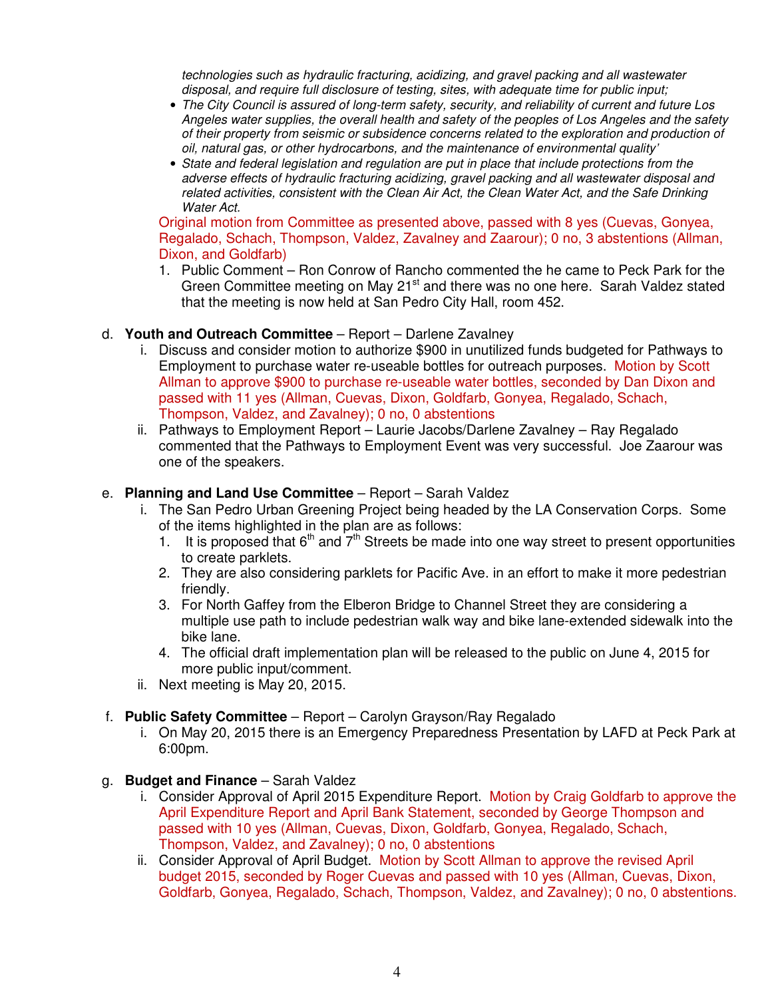technologies such as hydraulic fracturing, acidizing, and gravel packing and all wastewater disposal, and require full disclosure of testing, sites, with adequate time for public input;

- The City Council is assured of long-term safety, security, and reliability of current and future Los Angeles water supplies, the overall health and safety of the peoples of Los Angeles and the safety of their property from seismic or subsidence concerns related to the exploration and production of oil, natural gas, or other hydrocarbons, and the maintenance of environmental quality'
- State and federal legislation and regulation are put in place that include protections from the adverse effects of hydraulic fracturing acidizing, gravel packing and all wastewater disposal and related activities, consistent with the Clean Air Act, the Clean Water Act, and the Safe Drinking Water Act.

Original motion from Committee as presented above, passed with 8 yes (Cuevas, Gonyea, Regalado, Schach, Thompson, Valdez, Zavalney and Zaarour); 0 no, 3 abstentions (Allman, Dixon, and Goldfarb)

1. Public Comment – Ron Conrow of Rancho commented the he came to Peck Park for the Green Committee meeting on May 21<sup>st</sup> and there was no one here. Sarah Valdez stated that the meeting is now held at San Pedro City Hall, room 452.

### d. **Youth and Outreach Committee** – Report – Darlene Zavalney

- i. Discuss and consider motion to authorize \$900 in unutilized funds budgeted for Pathways to Employment to purchase water re-useable bottles for outreach purposes. Motion by Scott Allman to approve \$900 to purchase re-useable water bottles, seconded by Dan Dixon and passed with 11 yes (Allman, Cuevas, Dixon, Goldfarb, Gonyea, Regalado, Schach, Thompson, Valdez, and Zavalney); 0 no, 0 abstentions
- ii. Pathways to Employment Report Laurie Jacobs/Darlene Zavalney Ray Regalado commented that the Pathways to Employment Event was very successful. Joe Zaarour was one of the speakers.

### e. **Planning and Land Use Committee** – Report – Sarah Valdez

- i. The San Pedro Urban Greening Project being headed by the LA Conservation Corps. Some of the items highlighted in the plan are as follows:
	- 1. It is proposed that  $6<sup>th</sup>$  and  $7<sup>th</sup>$  Streets be made into one way street to present opportunities to create parklets.
	- 2. They are also considering parklets for Pacific Ave. in an effort to make it more pedestrian friendly.
	- 3. For North Gaffey from the Elberon Bridge to Channel Street they are considering a multiple use path to include pedestrian walk way and bike lane-extended sidewalk into the bike lane.
	- 4. The official draft implementation plan will be released to the public on June 4, 2015 for more public input/comment.
- ii. Next meeting is May 20, 2015.

### f. **Public Safety Committee** – Report – Carolyn Grayson/Ray Regalado

i. On May 20, 2015 there is an Emergency Preparedness Presentation by LAFD at Peck Park at 6:00pm.

### g. **Budget and Finance** – Sarah Valdez

- i. Consider Approval of April 2015 Expenditure Report. Motion by Craig Goldfarb to approve the April Expenditure Report and April Bank Statement, seconded by George Thompson and passed with 10 yes (Allman, Cuevas, Dixon, Goldfarb, Gonyea, Regalado, Schach, Thompson, Valdez, and Zavalney); 0 no, 0 abstentions
- ii. Consider Approval of April Budget. Motion by Scott Allman to approve the revised April budget 2015, seconded by Roger Cuevas and passed with 10 yes (Allman, Cuevas, Dixon, Goldfarb, Gonyea, Regalado, Schach, Thompson, Valdez, and Zavalney); 0 no, 0 abstentions.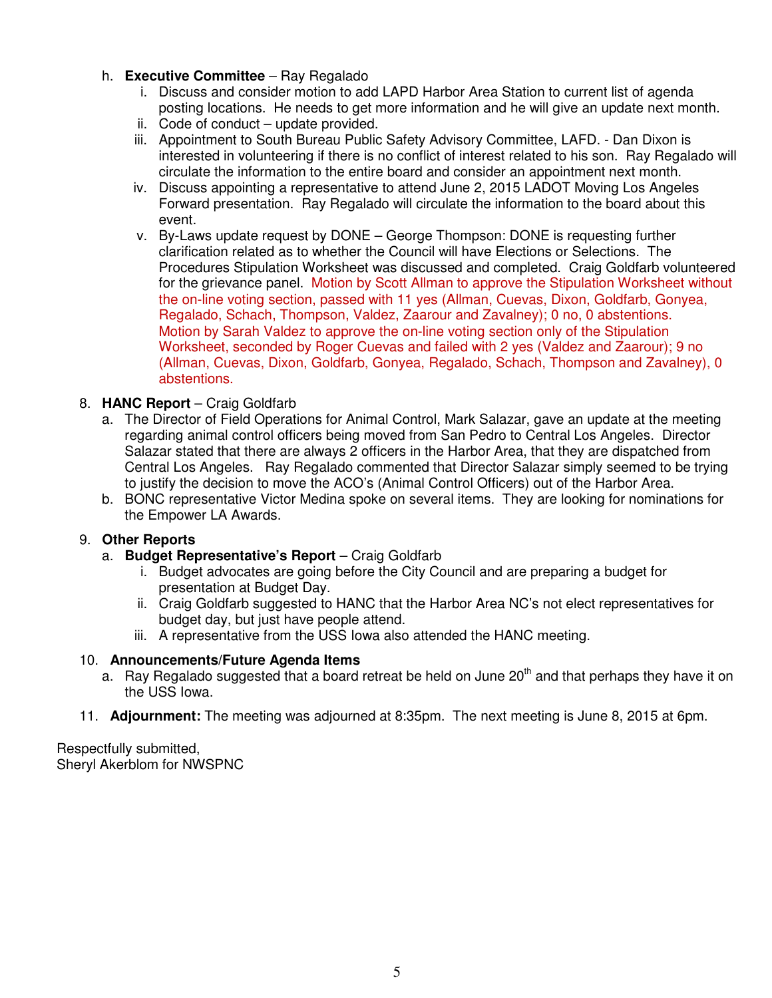### h. **Executive Committee** – Ray Regalado

- i. Discuss and consider motion to add LAPD Harbor Area Station to current list of agenda posting locations. He needs to get more information and he will give an update next month.
- ii. Code of conduct update provided.
- iii. Appointment to South Bureau Public Safety Advisory Committee, LAFD. Dan Dixon is interested in volunteering if there is no conflict of interest related to his son. Ray Regalado will circulate the information to the entire board and consider an appointment next month.
- iv. Discuss appointing a representative to attend June 2, 2015 LADOT Moving Los Angeles Forward presentation. Ray Regalado will circulate the information to the board about this event.
- v. By-Laws update request by DONE George Thompson: DONE is requesting further clarification related as to whether the Council will have Elections or Selections. The Procedures Stipulation Worksheet was discussed and completed. Craig Goldfarb volunteered for the grievance panel. Motion by Scott Allman to approve the Stipulation Worksheet without the on-line voting section, passed with 11 yes (Allman, Cuevas, Dixon, Goldfarb, Gonyea, Regalado, Schach, Thompson, Valdez, Zaarour and Zavalney); 0 no, 0 abstentions. Motion by Sarah Valdez to approve the on-line voting section only of the Stipulation Worksheet, seconded by Roger Cuevas and failed with 2 yes (Valdez and Zaarour); 9 no (Allman, Cuevas, Dixon, Goldfarb, Gonyea, Regalado, Schach, Thompson and Zavalney), 0 abstentions.

### 8. **HANC Report** – Craig Goldfarb

- a. The Director of Field Operations for Animal Control, Mark Salazar, gave an update at the meeting regarding animal control officers being moved from San Pedro to Central Los Angeles. Director Salazar stated that there are always 2 officers in the Harbor Area, that they are dispatched from Central Los Angeles. Ray Regalado commented that Director Salazar simply seemed to be trying to justify the decision to move the ACO's (Animal Control Officers) out of the Harbor Area.
- b. BONC representative Victor Medina spoke on several items. They are looking for nominations for the Empower LA Awards.

### 9. **Other Reports**

- a. **Budget Representative's Report** Craig Goldfarb
	- i. Budget advocates are going before the City Council and are preparing a budget for presentation at Budget Day.
	- ii. Craig Goldfarb suggested to HANC that the Harbor Area NC's not elect representatives for budget day, but just have people attend.
	- iii. A representative from the USS Iowa also attended the HANC meeting.

### 10. **Announcements/Future Agenda Items**

- a. Ray Regalado suggested that a board retreat be held on June  $20<sup>th</sup>$  and that perhaps they have it on the USS Iowa.
- 11. **Adjournment:** The meeting was adjourned at 8:35pm. The next meeting is June 8, 2015 at 6pm.

Respectfully submitted, Sheryl Akerblom for NWSPNC